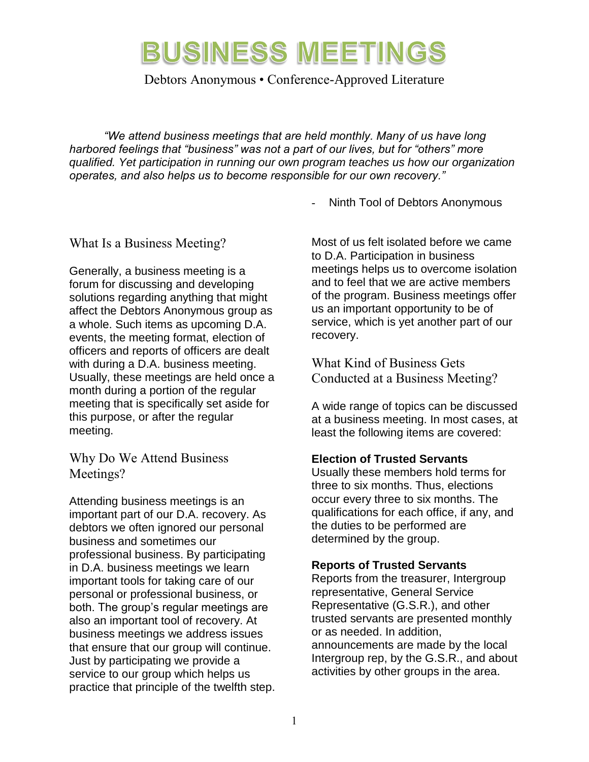Debtors Anonymous • Conference-Approved Literature

*"We attend business meetings that are held monthly. Many of us have long harbored feelings that "business" was not a part of our lives, but for "others" more qualified. Yet participation in running our own program teaches us how our organization operates, and also helps us to become responsible for our own recovery."*

Ninth Tool of Debtors Anonymous

#### What Is a Business Meeting?

Generally, a business meeting is a forum for discussing and developing solutions regarding anything that might affect the Debtors Anonymous group as a whole. Such items as upcoming D.A. events, the meeting format, election of officers and reports of officers are dealt with during a D.A. business meeting. Usually, these meetings are held once a month during a portion of the regular meeting that is specifically set aside for this purpose, or after the regular meeting.

Why Do We Attend Business Meetings?

Attending business meetings is an important part of our D.A. recovery. As debtors we often ignored our personal business and sometimes our professional business. By participating in D.A. business meetings we learn important tools for taking care of our personal or professional business, or both. The group's regular meetings are also an important tool of recovery. At business meetings we address issues that ensure that our group will continue. Just by participating we provide a service to our group which helps us practice that principle of the twelfth step. Most of us felt isolated before we came to D.A. Participation in business meetings helps us to overcome isolation and to feel that we are active members of the program. Business meetings offer us an important opportunity to be of service, which is yet another part of our recovery.

What Kind of Business Gets Conducted at a Business Meeting?

A wide range of topics can be discussed at a business meeting. In most cases, at least the following items are covered:

#### **Election of Trusted Servants**

Usually these members hold terms for three to six months. Thus, elections occur every three to six months. The qualifications for each office, if any, and the duties to be performed are determined by the group.

#### **Reports of Trusted Servants**

Reports from the treasurer, Intergroup representative, General Service Representative (G.S.R.), and other trusted servants are presented monthly or as needed. In addition, announcements are made by the local Intergroup rep, by the G.S.R., and about activities by other groups in the area.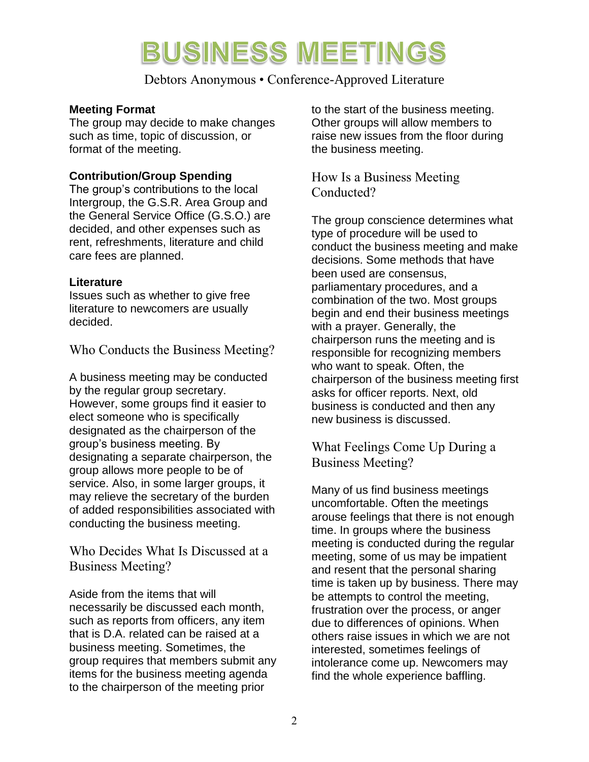Debtors Anonymous • Conference-Approved Literature

#### **Meeting Format**

The group may decide to make changes such as time, topic of discussion, or format of the meeting.

#### **Contribution/Group Spending**

The group's contributions to the local Intergroup, the G.S.R. Area Group and the General Service Office (G.S.O.) are decided, and other expenses such as rent, refreshments, literature and child care fees are planned.

#### **Literature**

Issues such as whether to give free literature to newcomers are usually decided.

Who Conducts the Business Meeting?

A business meeting may be conducted by the regular group secretary. However, some groups find it easier to elect someone who is specifically designated as the chairperson of the group's business meeting. By designating a separate chairperson, the group allows more people to be of service. Also, in some larger groups, it may relieve the secretary of the burden of added responsibilities associated with conducting the business meeting.

Who Decides What Is Discussed at a Business Meeting?

Aside from the items that will necessarily be discussed each month, such as reports from officers, any item that is D.A. related can be raised at a business meeting. Sometimes, the group requires that members submit any items for the business meeting agenda to the chairperson of the meeting prior

to the start of the business meeting. Other groups will allow members to raise new issues from the floor during the business meeting.

How Is a Business Meeting Conducted?

The group conscience determines what type of procedure will be used to conduct the business meeting and make decisions. Some methods that have been used are consensus, parliamentary procedures, and a combination of the two. Most groups begin and end their business meetings with a prayer. Generally, the chairperson runs the meeting and is responsible for recognizing members who want to speak. Often, the chairperson of the business meeting first asks for officer reports. Next, old business is conducted and then any new business is discussed.

What Feelings Come Up During a Business Meeting?

Many of us find business meetings uncomfortable. Often the meetings arouse feelings that there is not enough time. In groups where the business meeting is conducted during the regular meeting, some of us may be impatient and resent that the personal sharing time is taken up by business. There may be attempts to control the meeting, frustration over the process, or anger due to differences of opinions. When others raise issues in which we are not interested, sometimes feelings of intolerance come up. Newcomers may find the whole experience baffling.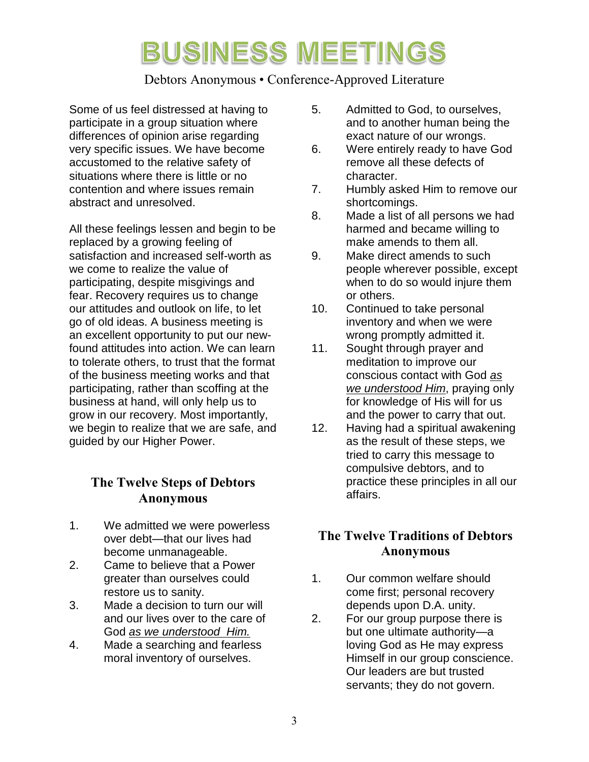### Debtors Anonymous • Conference-Approved Literature

Some of us feel distressed at having to participate in a group situation where differences of opinion arise regarding very specific issues. We have become accustomed to the relative safety of situations where there is little or no contention and where issues remain abstract and unresolved.

All these feelings lessen and begin to be replaced by a growing feeling of satisfaction and increased self-worth as we come to realize the value of participating, despite misgivings and fear. Recovery requires us to change our attitudes and outlook on life, to let go of old ideas. A business meeting is an excellent opportunity to put our newfound attitudes into action. We can learn to tolerate others, to trust that the format of the business meeting works and that participating, rather than scoffing at the business at hand, will only help us to grow in our recovery. Most importantly, we begin to realize that we are safe, and guided by our Higher Power.

### **The Twelve Steps of Debtors Anonymous**

- 1. We admitted we were powerless over debt—that our lives had become unmanageable.
- 2. Came to believe that a Power greater than ourselves could restore us to sanity.
- 3. Made a decision to turn our will and our lives over to the care of God *as we understood Him.*
- 4. Made a searching and fearless moral inventory of ourselves.
- 5. Admitted to God, to ourselves, and to another human being the exact nature of our wrongs.
- 6. Were entirely ready to have God remove all these defects of character.
- 7. Humbly asked Him to remove our shortcomings.
- 8. Made a list of all persons we had harmed and became willing to make amends to them all.
- 9. Make direct amends to such people wherever possible, except when to do so would injure them or others.
- 10. Continued to take personal inventory and when we were wrong promptly admitted it.
- 11. Sought through prayer and meditation to improve our conscious contact with God *as we understood Him*, praying only for knowledge of His will for us and the power to carry that out.
- 12. Having had a spiritual awakening as the result of these steps, we tried to carry this message to compulsive debtors, and to practice these principles in all our affairs.

### **The Twelve Traditions of Debtors Anonymous**

- 1. Our common welfare should come first; personal recovery depends upon D.A. unity.
- 2. For our group purpose there is but one ultimate authority—a loving God as He may express Himself in our group conscience. Our leaders are but trusted servants; they do not govern.